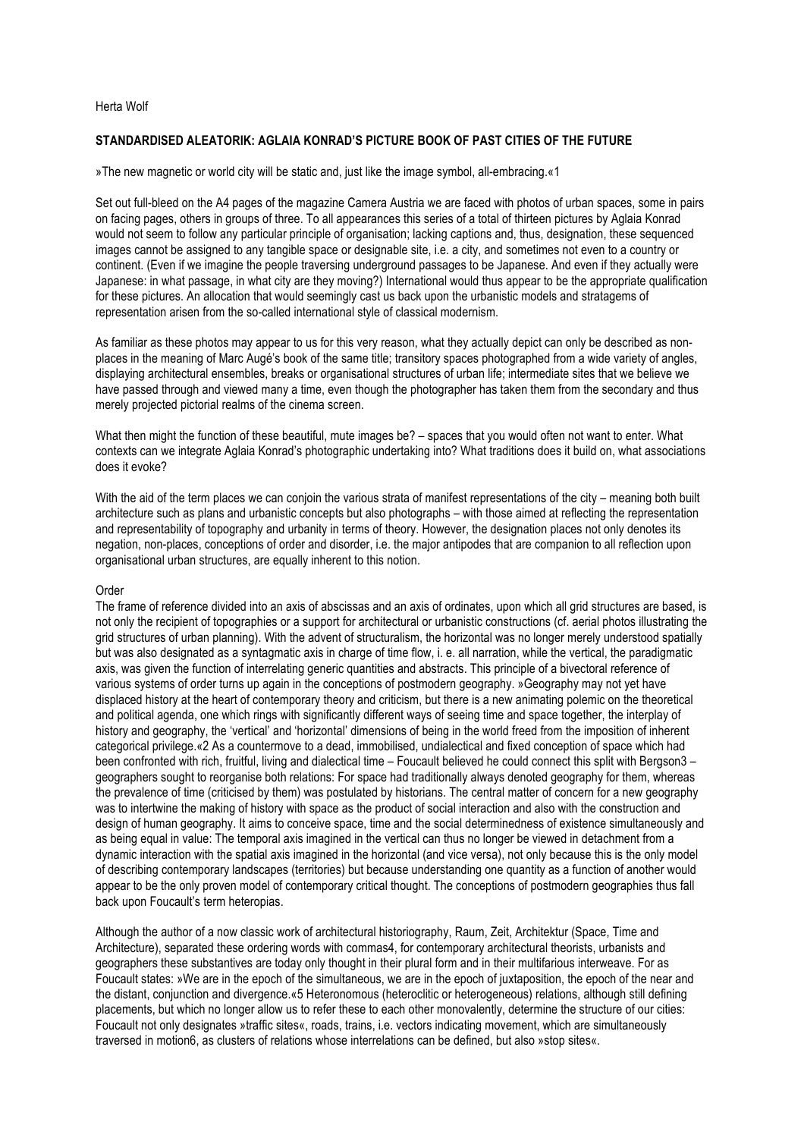### Herta Wolf

# **STANDARDISED ALEATORIK: AGLAIA KONRAD'S PICTURE BOOK OF PAST CITIES OF THE FUTURE**

»The new magnetic or world city will be static and, just like the image symbol, all-embracing.«1

Set out full-bleed on the A4 pages of the magazine Camera Austria we are faced with photos of urban spaces, some in pairs on facing pages, others in groups of three. To all appearances this series of a total of thirteen pictures by Aglaia Konrad would not seem to follow any particular principle of organisation; lacking captions and, thus, designation, these sequenced images cannot be assigned to any tangible space or designable site, i.e. a city, and sometimes not even to a country or continent. (Even if we imagine the people traversing underground passages to be Japanese. And even if they actually were Japanese: in what passage, in what city are they moving?) International would thus appear to be the appropriate qualification for these pictures. An allocation that would seemingly cast us back upon the urbanistic models and stratagems of representation arisen from the so-called international style of classical modernism.

As familiar as these photos may appear to us for this very reason, what they actually depict can only be described as nonplaces in the meaning of Marc Augé's book of the same title; transitory spaces photographed from a wide variety of angles, displaying architectural ensembles, breaks or organisational structures of urban life; intermediate sites that we believe we have passed through and viewed many a time, even though the photographer has taken them from the secondary and thus merely projected pictorial realms of the cinema screen.

What then might the function of these beautiful, mute images be? – spaces that you would often not want to enter. What contexts can we integrate Aglaia Konrad's photographic undertaking into? What traditions does it build on, what associations does it evoke?

With the aid of the term places we can conjoin the various strata of manifest representations of the city – meaning both built architecture such as plans and urbanistic concepts but also photographs – with those aimed at reflecting the representation and representability of topography and urbanity in terms of theory. However, the designation places not only denotes its negation, non-places, conceptions of order and disorder, i.e. the major antipodes that are companion to all reflection upon organisational urban structures, are equally inherent to this notion.

### Order

The frame of reference divided into an axis of abscissas and an axis of ordinates, upon which all grid structures are based, is not only the recipient of topographies or a support for architectural or urbanistic constructions (cf. aerial photos illustrating the grid structures of urban planning). With the advent of structuralism, the horizontal was no longer merely understood spatially but was also designated as a syntagmatic axis in charge of time flow, i. e. all narration, while the vertical, the paradigmatic axis, was given the function of interrelating generic quantities and abstracts. This principle of a bivectoral reference of various systems of order turns up again in the conceptions of postmodern geography. »Geography may not yet have displaced history at the heart of contemporary theory and criticism, but there is a new animating polemic on the theoretical and political agenda, one which rings with significantly different ways of seeing time and space together, the interplay of history and geography, the 'vertical' and 'horizontal' dimensions of being in the world freed from the imposition of inherent categorical privilege.«2 As a countermove to a dead, immobilised, undialectical and fixed conception of space which had been confronted with rich, fruitful, living and dialectical time – Foucault believed he could connect this split with Bergson3 – geographers sought to reorganise both relations: For space had traditionally always denoted geography for them, whereas the prevalence of time (criticised by them) was postulated by historians. The central matter of concern for a new geography was to intertwine the making of history with space as the product of social interaction and also with the construction and design of human geography. It aims to conceive space, time and the social determinedness of existence simultaneously and as being equal in value: The temporal axis imagined in the vertical can thus no longer be viewed in detachment from a dynamic interaction with the spatial axis imagined in the horizontal (and vice versa), not only because this is the only model of describing contemporary landscapes (territories) but because understanding one quantity as a function of another would appear to be the only proven model of contemporary critical thought. The conceptions of postmodern geographies thus fall back upon Foucault's term heteropias.

Although the author of a now classic work of architectural historiography, Raum, Zeit, Architektur (Space, Time and Architecture), separated these ordering words with commas4, for contemporary architectural theorists, urbanists and geographers these substantives are today only thought in their plural form and in their multifarious interweave. For as Foucault states: »We are in the epoch of the simultaneous, we are in the epoch of juxtaposition, the epoch of the near and the distant, conjunction and divergence.«5 Heteronomous (heteroclitic or heterogeneous) relations, although still defining placements, but which no longer allow us to refer these to each other monovalently, determine the structure of our cities: Foucault not only designates »traffic sites«, roads, trains, i.e. vectors indicating movement, which are simultaneously traversed in motion6, as clusters of relations whose interrelations can be defined, but also »stop sites«.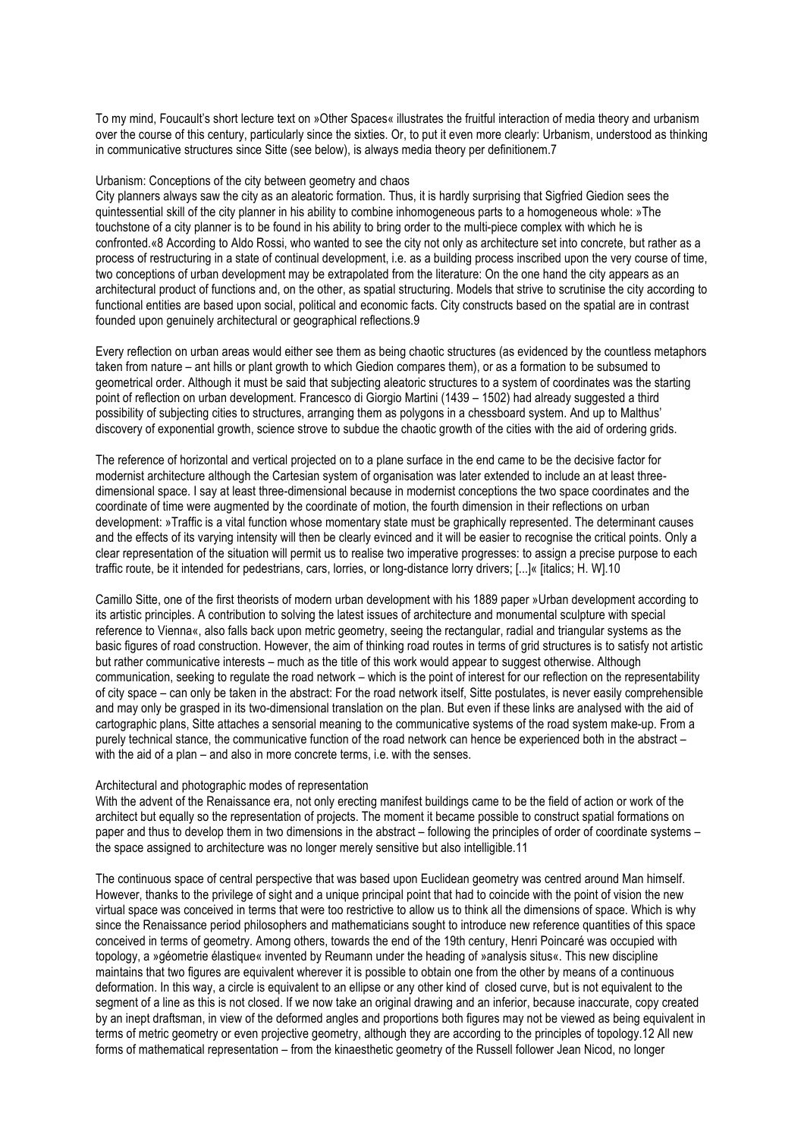To my mind, Foucault's short lecture text on »Other Spaces« illustrates the fruitful interaction of media theory and urbanism over the course of this century, particularly since the sixties. Or, to put it even more clearly: Urbanism, understood as thinking in communicative structures since Sitte (see below), is always media theory per definitionem.7

## Urbanism: Conceptions of the city between geometry and chaos

City planners always saw the city as an aleatoric formation. Thus, it is hardly surprising that Sigfried Giedion sees the quintessential skill of the city planner in his ability to combine inhomogeneous parts to a homogeneous whole: »The touchstone of a city planner is to be found in his ability to bring order to the multi-piece complex with which he is confronted.«8 According to Aldo Rossi, who wanted to see the city not only as architecture set into concrete, but rather as a process of restructuring in a state of continual development, i.e. as a building process inscribed upon the very course of time, two conceptions of urban development may be extrapolated from the literature: On the one hand the city appears as an architectural product of functions and, on the other, as spatial structuring. Models that strive to scrutinise the city according to functional entities are based upon social, political and economic facts. City constructs based on the spatial are in contrast founded upon genuinely architectural or geographical reflections.9

Every reflection on urban areas would either see them as being chaotic structures (as evidenced by the countless metaphors taken from nature – ant hills or plant growth to which Giedion compares them), or as a formation to be subsumed to geometrical order. Although it must be said that subjecting aleatoric structures to a system of coordinates was the starting point of reflection on urban development. Francesco di Giorgio Martini (1439 – 1502) had already suggested a third possibility of subjecting cities to structures, arranging them as polygons in a chessboard system. And up to Malthus' discovery of exponential growth, science strove to subdue the chaotic growth of the cities with the aid of ordering grids.

The reference of horizontal and vertical projected on to a plane surface in the end came to be the decisive factor for modernist architecture although the Cartesian system of organisation was later extended to include an at least threedimensional space. I say at least three-dimensional because in modernist conceptions the two space coordinates and the coordinate of time were augmented by the coordinate of motion, the fourth dimension in their reflections on urban development: »Traffic is a vital function whose momentary state must be graphically represented. The determinant causes and the effects of its varying intensity will then be clearly evinced and it will be easier to recognise the critical points. Only a clear representation of the situation will permit us to realise two imperative progresses: to assign a precise purpose to each traffic route, be it intended for pedestrians, cars, lorries, or long-distance lorry drivers; [...]« [italics; H. W].10

Camillo Sitte, one of the first theorists of modern urban development with his 1889 paper »Urban development according to its artistic principles. A contribution to solving the latest issues of architecture and monumental sculpture with special reference to Vienna«, also falls back upon metric geometry, seeing the rectangular, radial and triangular systems as the basic figures of road construction. However, the aim of thinking road routes in terms of grid structures is to satisfy not artistic but rather communicative interests – much as the title of this work would appear to suggest otherwise. Although communication, seeking to regulate the road network – which is the point of interest for our reflection on the representability of city space – can only be taken in the abstract: For the road network itself, Sitte postulates, is never easily comprehensible and may only be grasped in its two-dimensional translation on the plan. But even if these links are analysed with the aid of cartographic plans, Sitte attaches a sensorial meaning to the communicative systems of the road system make-up. From a purely technical stance, the communicative function of the road network can hence be experienced both in the abstract – with the aid of a plan – and also in more concrete terms, i.e. with the senses.

#### Architectural and photographic modes of representation

With the advent of the Renaissance era, not only erecting manifest buildings came to be the field of action or work of the architect but equally so the representation of projects. The moment it became possible to construct spatial formations on paper and thus to develop them in two dimensions in the abstract – following the principles of order of coordinate systems – the space assigned to architecture was no longer merely sensitive but also intelligible.11

The continuous space of central perspective that was based upon Euclidean geometry was centred around Man himself. However, thanks to the privilege of sight and a unique principal point that had to coincide with the point of vision the new virtual space was conceived in terms that were too restrictive to allow us to think all the dimensions of space. Which is why since the Renaissance period philosophers and mathematicians sought to introduce new reference quantities of this space conceived in terms of geometry. Among others, towards the end of the 19th century, Henri Poincaré was occupied with topology, a »géometrie élastique« invented by Reumann under the heading of »analysis situs«. This new discipline maintains that two figures are equivalent wherever it is possible to obtain one from the other by means of a continuous deformation. In this way, a circle is equivalent to an ellipse or any other kind of closed curve, but is not equivalent to the segment of a line as this is not closed. If we now take an original drawing and an inferior, because inaccurate, copy created by an inept draftsman, in view of the deformed angles and proportions both figures may not be viewed as being equivalent in terms of metric geometry or even projective geometry, although they are according to the principles of topology.12 All new forms of mathematical representation – from the kinaesthetic geometry of the Russell follower Jean Nicod, no longer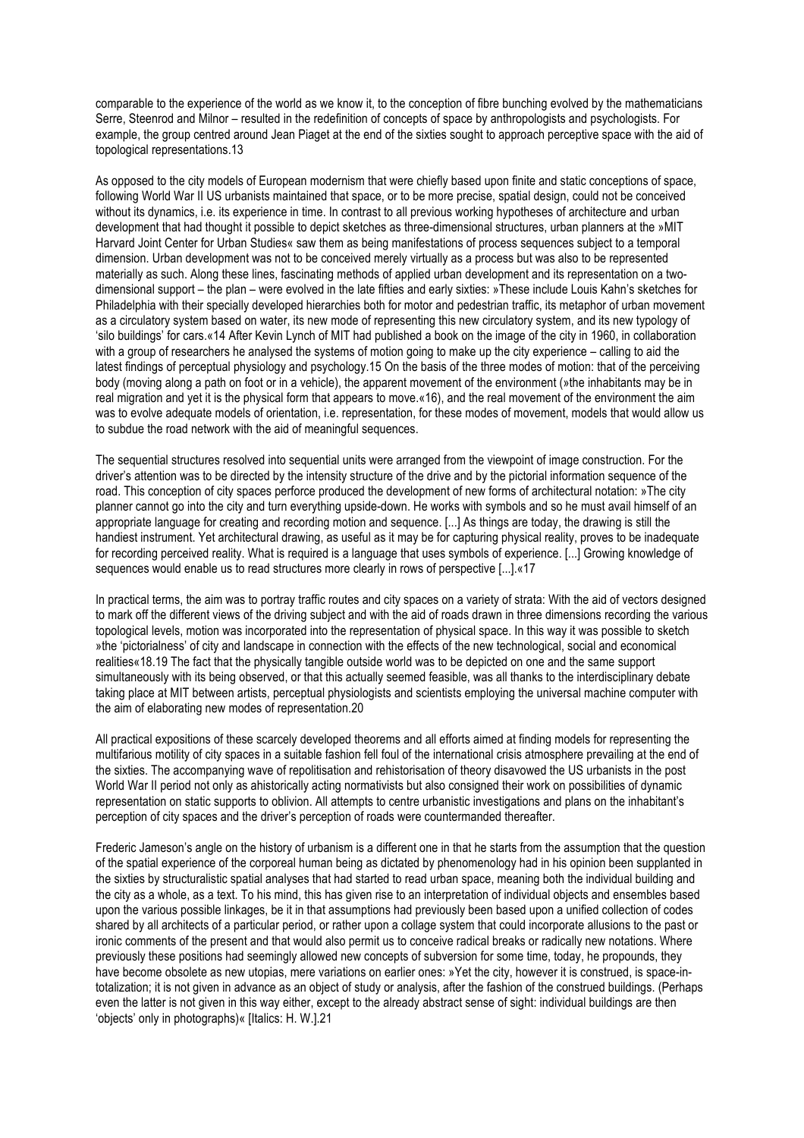comparable to the experience of the world as we know it, to the conception of fibre bunching evolved by the mathematicians Serre, Steenrod and Milnor – resulted in the redefinition of concepts of space by anthropologists and psychologists. For example, the group centred around Jean Piaget at the end of the sixties sought to approach perceptive space with the aid of topological representations.13

As opposed to the city models of European modernism that were chiefly based upon finite and static conceptions of space, following World War II US urbanists maintained that space, or to be more precise, spatial design, could not be conceived without its dynamics, i.e. its experience in time. In contrast to all previous working hypotheses of architecture and urban development that had thought it possible to depict sketches as three-dimensional structures, urban planners at the »MIT Harvard Joint Center for Urban Studies« saw them as being manifestations of process sequences subject to a temporal dimension. Urban development was not to be conceived merely virtually as a process but was also to be represented materially as such. Along these lines, fascinating methods of applied urban development and its representation on a twodimensional support – the plan – were evolved in the late fifties and early sixties: »These include Louis Kahn's sketches for Philadelphia with their specially developed hierarchies both for motor and pedestrian traffic, its metaphor of urban movement as a circulatory system based on water, its new mode of representing this new circulatory system, and its new typology of 'silo buildings' for cars.«14 After Kevin Lynch of MIT had published a book on the image of the city in 1960, in collaboration with a group of researchers he analysed the systems of motion going to make up the city experience – calling to aid the latest findings of perceptual physiology and psychology.15 On the basis of the three modes of motion: that of the perceiving body (moving along a path on foot or in a vehicle), the apparent movement of the environment (»the inhabitants may be in real migration and yet it is the physical form that appears to move.«16), and the real movement of the environment the aim was to evolve adequate models of orientation, i.e. representation, for these modes of movement, models that would allow us to subdue the road network with the aid of meaningful sequences.

The sequential structures resolved into sequential units were arranged from the viewpoint of image construction. For the driver's attention was to be directed by the intensity structure of the drive and by the pictorial information sequence of the road. This conception of city spaces perforce produced the development of new forms of architectural notation: »The city planner cannot go into the city and turn everything upside-down. He works with symbols and so he must avail himself of an appropriate language for creating and recording motion and sequence. [...] As things are today, the drawing is still the handiest instrument. Yet architectural drawing, as useful as it may be for capturing physical reality, proves to be inadequate for recording perceived reality. What is required is a language that uses symbols of experience. [...] Growing knowledge of sequences would enable us to read structures more clearly in rows of perspective [...].«17

In practical terms, the aim was to portray traffic routes and city spaces on a variety of strata: With the aid of vectors designed to mark off the different views of the driving subject and with the aid of roads drawn in three dimensions recording the various topological levels, motion was incorporated into the representation of physical space. In this way it was possible to sketch »the 'pictorialness' of city and landscape in connection with the effects of the new technological, social and economical realities«18.19 The fact that the physically tangible outside world was to be depicted on one and the same support simultaneously with its being observed, or that this actually seemed feasible, was all thanks to the interdisciplinary debate taking place at MIT between artists, perceptual physiologists and scientists employing the universal machine computer with the aim of elaborating new modes of representation.20

All practical expositions of these scarcely developed theorems and all efforts aimed at finding models for representing the multifarious motility of city spaces in a suitable fashion fell foul of the international crisis atmosphere prevailing at the end of the sixties. The accompanying wave of repolitisation and rehistorisation of theory disavowed the US urbanists in the post World War II period not only as ahistorically acting normativists but also consigned their work on possibilities of dynamic representation on static supports to oblivion. All attempts to centre urbanistic investigations and plans on the inhabitant's perception of city spaces and the driver's perception of roads were countermanded thereafter.

Frederic Jameson's angle on the history of urbanism is a different one in that he starts from the assumption that the question of the spatial experience of the corporeal human being as dictated by phenomenology had in his opinion been supplanted in the sixties by structuralistic spatial analyses that had started to read urban space, meaning both the individual building and the city as a whole, as a text. To his mind, this has given rise to an interpretation of individual objects and ensembles based upon the various possible linkages, be it in that assumptions had previously been based upon a unified collection of codes shared by all architects of a particular period, or rather upon a collage system that could incorporate allusions to the past or ironic comments of the present and that would also permit us to conceive radical breaks or radically new notations. Where previously these positions had seemingly allowed new concepts of subversion for some time, today, he propounds, they have become obsolete as new utopias, mere variations on earlier ones: »Yet the city, however it is construed, is space-intotalization; it is not given in advance as an object of study or analysis, after the fashion of the construed buildings. (Perhaps even the latter is not given in this way either, except to the already abstract sense of sight: individual buildings are then 'objects' only in photographs)« [Italics: H. W.].21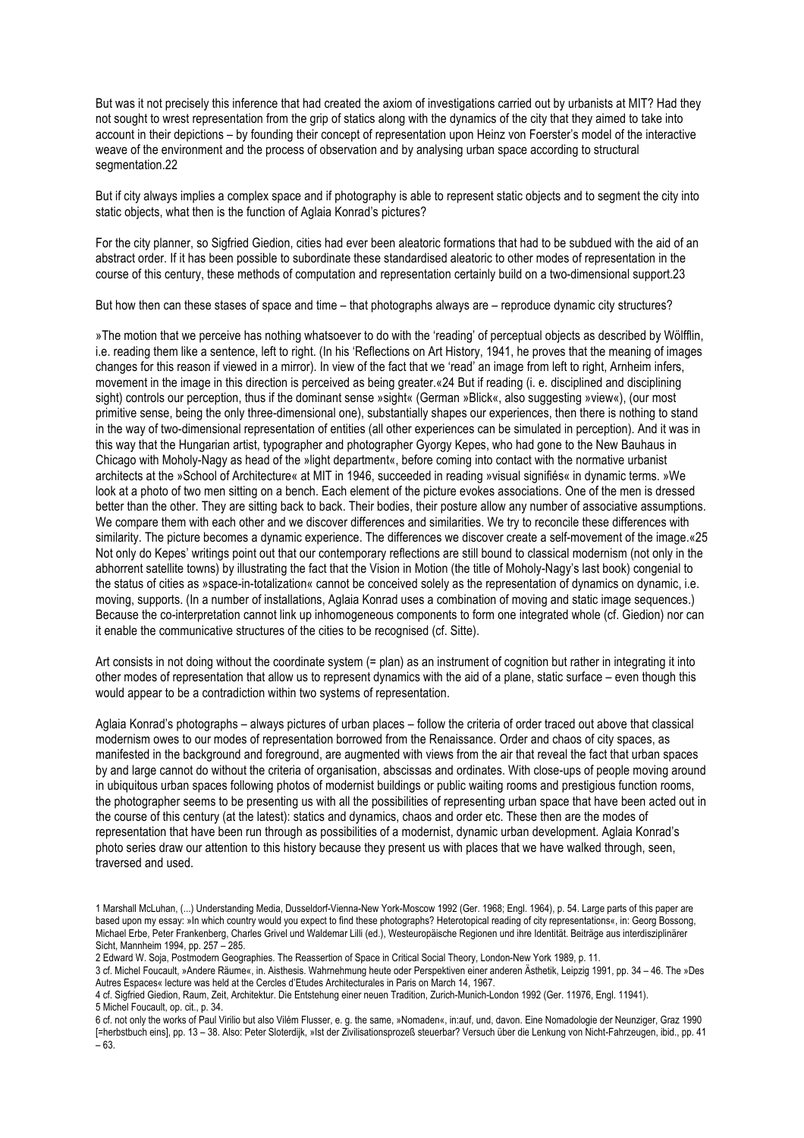But was it not precisely this inference that had created the axiom of investigations carried out by urbanists at MIT? Had they not sought to wrest representation from the grip of statics along with the dynamics of the city that they aimed to take into account in their depictions – by founding their concept of representation upon Heinz von Foerster's model of the interactive weave of the environment and the process of observation and by analysing urban space according to structural segmentation.22

But if city always implies a complex space and if photography is able to represent static objects and to segment the city into static objects, what then is the function of Aglaia Konrad's pictures?

For the city planner, so Sigfried Giedion, cities had ever been aleatoric formations that had to be subdued with the aid of an abstract order. If it has been possible to subordinate these standardised aleatoric to other modes of representation in the course of this century, these methods of computation and representation certainly build on a two-dimensional support.23

But how then can these stases of space and time – that photographs always are – reproduce dynamic city structures?

»The motion that we perceive has nothing whatsoever to do with the 'reading' of perceptual objects as described by Wölfflin, i.e. reading them like a sentence, left to right. (In his 'Reflections on Art History, 1941, he proves that the meaning of images changes for this reason if viewed in a mirror). In view of the fact that we 'read' an image from left to right, Arnheim infers, movement in the image in this direction is perceived as being greater.«24 But if reading (i. e. disciplined and disciplining sight) controls our perception, thus if the dominant sense »sight« (German »Blick«, also suggesting »view«), (our most primitive sense, being the only three-dimensional one), substantially shapes our experiences, then there is nothing to stand in the way of two-dimensional representation of entities (all other experiences can be simulated in perception). And it was in this way that the Hungarian artist, typographer and photographer Gyorgy Kepes, who had gone to the New Bauhaus in Chicago with Moholy-Nagy as head of the »light department«, before coming into contact with the normative urbanist architects at the »School of Architecture« at MIT in 1946, succeeded in reading »visual signifiés« in dynamic terms. »We look at a photo of two men sitting on a bench. Each element of the picture evokes associations. One of the men is dressed better than the other. They are sitting back to back. Their bodies, their posture allow any number of associative assumptions. We compare them with each other and we discover differences and similarities. We try to reconcile these differences with similarity. The picture becomes a dynamic experience. The differences we discover create a self-movement of the image.«25 Not only do Kepes' writings point out that our contemporary reflections are still bound to classical modernism (not only in the abhorrent satellite towns) by illustrating the fact that the Vision in Motion (the title of Moholy-Nagy's last book) congenial to the status of cities as »space-in-totalization« cannot be conceived solely as the representation of dynamics on dynamic, i.e. moving, supports. (In a number of installations, Aglaia Konrad uses a combination of moving and static image sequences.) Because the co-interpretation cannot link up inhomogeneous components to form one integrated whole (cf. Giedion) nor can it enable the communicative structures of the cities to be recognised (cf. Sitte).

Art consists in not doing without the coordinate system (= plan) as an instrument of cognition but rather in integrating it into other modes of representation that allow us to represent dynamics with the aid of a plane, static surface – even though this would appear to be a contradiction within two systems of representation.

Aglaia Konrad's photographs – always pictures of urban places – follow the criteria of order traced out above that classical modernism owes to our modes of representation borrowed from the Renaissance. Order and chaos of city spaces, as manifested in the background and foreground, are augmented with views from the air that reveal the fact that urban spaces by and large cannot do without the criteria of organisation, abscissas and ordinates. With close-ups of people moving around in ubiquitous urban spaces following photos of modernist buildings or public waiting rooms and prestigious function rooms, the photographer seems to be presenting us with all the possibilities of representing urban space that have been acted out in the course of this century (at the latest): statics and dynamics, chaos and order etc. These then are the modes of representation that have been run through as possibilities of a modernist, dynamic urban development. Aglaia Konrad's photo series draw our attention to this history because they present us with places that we have walked through, seen, traversed and used.

2 Edward W. Soja, Postmodern Geographies. The Reassertion of Space in Critical Social Theory, London-New York 1989, p. 11.

3 cf. Michel Foucault, »Andere Räume«, in. Aisthesis. Wahrnehmung heute oder Perspektiven einer anderen Ästhetik, Leipzig 1991, pp. 34 – 46. The »Des Autres Espaces« lecture was held at the Cercles d'Etudes Architecturales in Paris on March 14, 1967.

4 cf. Sigfried Giedion, Raum, Zeit, Architektur. Die Entstehung einer neuen Tradition, Zurich-Munich-London 1992 (Ger. 11976, Engl. 11941). 5 Michel Foucault, op. cit., p. 34.

<sup>1</sup> Marshall McLuhan, (...) Understanding Media, Dusseldorf-Vienna-New York-Moscow 1992 (Ger. 1968; Engl. 1964), p. 54. Large parts of this paper are based upon my essay: »In which country would you expect to find these photographs? Heterotopical reading of city representations«, in: Georg Bossong, Michael Erbe, Peter Frankenberg, Charles Grivel und Waldemar Lilli (ed.), Westeuropäische Regionen und ihre Identität. Beiträge aus interdisziplinärer Sicht, Mannheim 1994, pp. 257 – 285.

<sup>6</sup> cf. not only the works of Paul Virilio but also Vilém Flusser, e. g. the same, »Nomaden«, in:auf, und, davon. Eine Nomadologie der Neunziger, Graz 1990 [=herbstbuch eins], pp. 13 – 38. Also: Peter Sloterdijk, »Ist der Zivilisationsprozeß steuerbar? Versuch über die Lenkung von Nicht-Fahrzeugen, ibid., pp. 41 – 63.